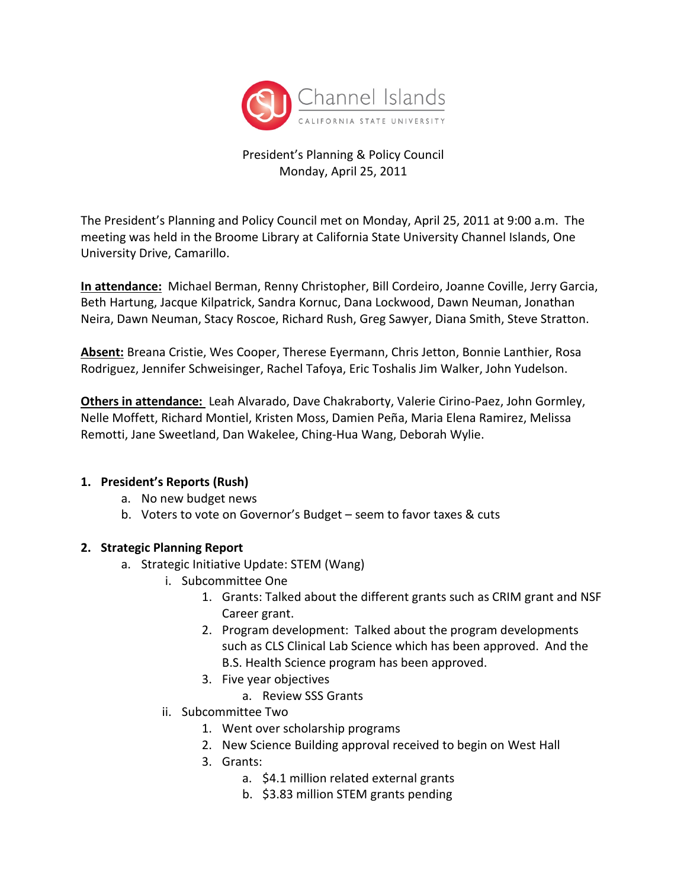

#### President's Planning & Policy Council Monday, April 25, 2011

The President's Planning and Policy Council met on Monday, April 25, 2011 at 9:00 a.m. The meeting was held in the Broome Library at California State University Channel Islands, One University Drive, Camarillo.

**In attendance:** Michael Berman, Renny Christopher, Bill Cordeiro, Joanne Coville, Jerry Garcia, Beth Hartung, Jacque Kilpatrick, Sandra Kornuc, Dana Lockwood, Dawn Neuman, Jonathan Neira, Dawn Neuman, Stacy Roscoe, Richard Rush, Greg Sawyer, Diana Smith, Steve Stratton.

**Absent:** Breana Cristie, Wes Cooper, Therese Eyermann, Chris Jetton, Bonnie Lanthier, Rosa Rodriguez, Jennifer Schweisinger, Rachel Tafoya, Eric Toshalis Jim Walker, John Yudelson.

**Others in attendance:** Leah Alvarado, Dave Chakraborty, Valerie Cirino-Paez, John Gormley, Nelle Moffett, Richard Montiel, Kristen Moss, Damien Peña, Maria Elena Ramirez, Melissa Remotti, Jane Sweetland, Dan Wakelee, Ching-Hua Wang, Deborah Wylie.

#### **1. President's Reports (Rush)**

- a. No new budget news
- b. Voters to vote on Governor's Budget seem to favor taxes & cuts

#### **2. Strategic Planning Report**

- a. Strategic Initiative Update: STEM (Wang)
	- i. Subcommittee One
		- 1. Grants: Talked about the different grants such as CRIM grant and NSF Career grant.
		- 2. Program development: Talked about the program developments such as CLS Clinical Lab Science which has been approved. And the B.S. Health Science program has been approved.
		- 3. Five year objectives
			- a. Review SSS Grants
	- ii. Subcommittee Two
		- 1. Went over scholarship programs
		- 2. New Science Building approval received to begin on West Hall
		- 3. Grants:
			- a. \$4.1 million related external grants
			- b. \$3.83 million STEM grants pending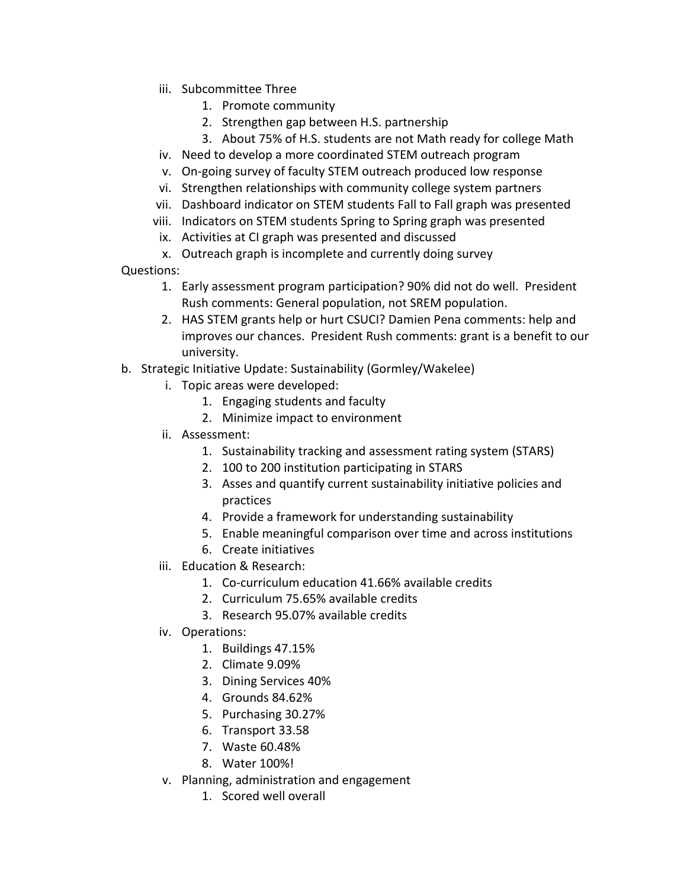- iii. Subcommittee Three
	- 1. Promote community
	- 2. Strengthen gap between H.S. partnership
	- 3. About 75% of H.S. students are not Math ready for college Math
- iv. Need to develop a more coordinated STEM outreach program
- v. On-going survey of faculty STEM outreach produced low response
- vi. Strengthen relationships with community college system partners
- vii. Dashboard indicator on STEM students Fall to Fall graph was presented
- viii. Indicators on STEM students Spring to Spring graph was presented
- ix. Activities at CI graph was presented and discussed
- x. Outreach graph is incomplete and currently doing survey
- Questions:
	- 1. Early assessment program participation? 90% did not do well. President Rush comments: General population, not SREM population.
	- 2. HAS STEM grants help or hurt CSUCI? Damien Pena comments: help and improves our chances. President Rush comments: grant is a benefit to our university.
- b. Strategic Initiative Update: Sustainability (Gormley/Wakelee)
	- i. Topic areas were developed:
		- 1. Engaging students and faculty
		- 2. Minimize impact to environment
	- ii. Assessment:
		- 1. Sustainability tracking and assessment rating system (STARS)
		- 2. 100 to 200 institution participating in STARS
		- 3. Asses and quantify current sustainability initiative policies and practices
		- 4. Provide a framework for understanding sustainability
		- 5. Enable meaningful comparison over time and across institutions
		- 6. Create initiatives
	- iii. Education & Research:
		- 1. Co-curriculum education 41.66% available credits
		- 2. Curriculum 75.65% available credits
		- 3. Research 95.07% available credits
	- iv. Operations:
		- 1. Buildings 47.15%
		- 2. Climate 9.09%
		- 3. Dining Services 40%
		- 4. Grounds 84.62%
		- 5. Purchasing 30.27%
		- 6. Transport 33.58
		- 7. Waste 60.48%
		- 8. Water 100%!
	- v. Planning, administration and engagement
		- 1. Scored well overall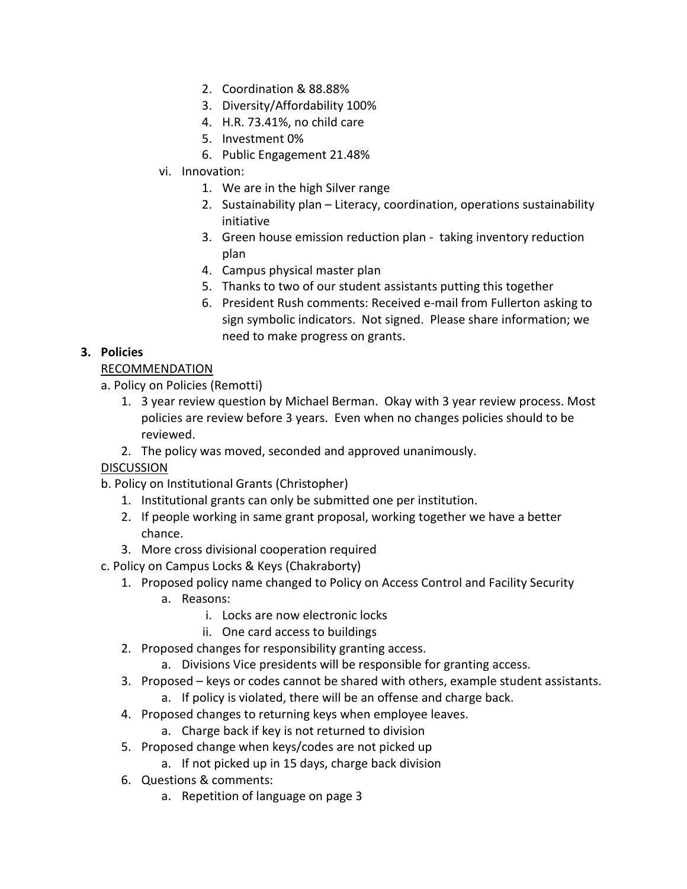- 2. Coordination & 88.88%
- 3. Diversity/Affordability 100%
- 4. H.R. 73.41%, no child care
- 5. Investment 0%
- 6. Public Engagement 21.48%
- vi. Innovation:
	- 1. We are in the high Silver range
	- 2. Sustainability plan Literacy, coordination, operations sustainability initiative
	- 3. Green house emission reduction plan taking inventory reduction plan
	- 4. Campus physical master plan
	- 5. Thanks to two of our student assistants putting this together
	- 6. President Rush comments: Received e-mail from Fullerton asking to sign symbolic indicators. Not signed. Please share information; we need to make progress on grants.

## **3. Policies**

## RECOMMENDATION

- a. Policy on Policies (Remotti)
	- 1. 3 year review question by Michael Berman. Okay with 3 year review process. Most policies are review before 3 years. Even when no changes policies should to be reviewed.
	- 2. The policy was moved, seconded and approved unanimously.

# DISCUSSION

- b. Policy on Institutional Grants (Christopher)
	- 1. Institutional grants can only be submitted one per institution.
	- 2. If people working in same grant proposal, working together we have a better chance.
	- 3. More cross divisional cooperation required
- c. Policy on Campus Locks & Keys (Chakraborty)
	- 1. Proposed policy name changed to Policy on Access Control and Facility Security
		- a. Reasons:
			- i. Locks are now electronic locks
			- ii. One card access to buildings
	- 2. Proposed changes for responsibility granting access.
		- a. Divisions Vice presidents will be responsible for granting access.
	- 3. Proposed keys or codes cannot be shared with others, example student assistants.
		- a. If policy is violated, there will be an offense and charge back.
	- 4. Proposed changes to returning keys when employee leaves.
		- a. Charge back if key is not returned to division
	- 5. Proposed change when keys/codes are not picked up
		- a. If not picked up in 15 days, charge back division
	- 6. Questions & comments:
		- a. Repetition of language on page 3